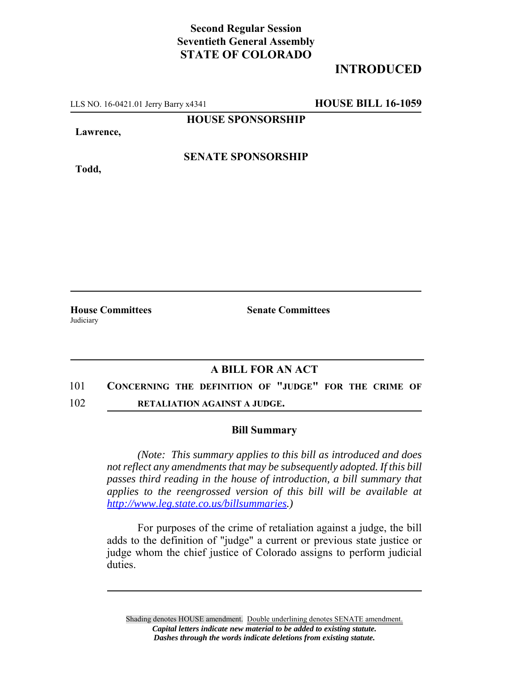## **Second Regular Session Seventieth General Assembly STATE OF COLORADO**

## **INTRODUCED**

LLS NO. 16-0421.01 Jerry Barry x4341 **HOUSE BILL 16-1059**

**HOUSE SPONSORSHIP**

**Lawrence,**

**Todd,**

**SENATE SPONSORSHIP**

Judiciary

**House Committees Senate Committees**

## **A BILL FOR AN ACT**

- 101 **CONCERNING THE DEFINITION OF "JUDGE" FOR THE CRIME OF**
- 102 **RETALIATION AGAINST A JUDGE.**

## **Bill Summary**

*(Note: This summary applies to this bill as introduced and does not reflect any amendments that may be subsequently adopted. If this bill passes third reading in the house of introduction, a bill summary that applies to the reengrossed version of this bill will be available at http://www.leg.state.co.us/billsummaries.)*

For purposes of the crime of retaliation against a judge, the bill adds to the definition of "judge" a current or previous state justice or judge whom the chief justice of Colorado assigns to perform judicial duties.

Shading denotes HOUSE amendment. Double underlining denotes SENATE amendment. *Capital letters indicate new material to be added to existing statute. Dashes through the words indicate deletions from existing statute.*